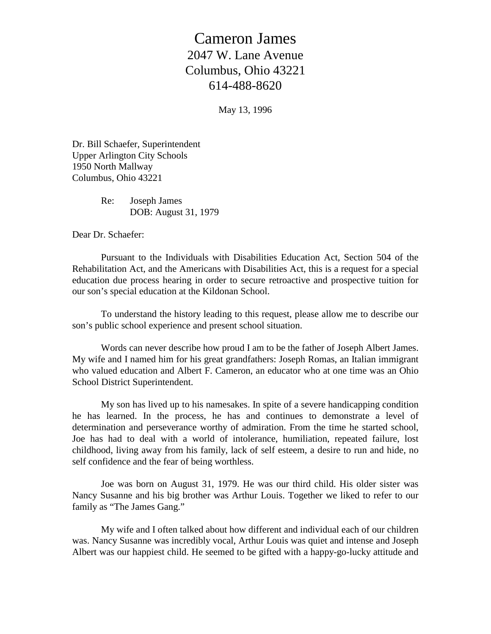## Cameron James 2047 W. Lane Avenue Columbus, Ohio 43221 614-488-8620

May 13, 1996

Dr. Bill Schaefer, Superintendent Upper Arlington City Schools 1950 North Mallway Columbus, Ohio 43221

> Re: Joseph James DOB: August 31, 1979

Dear Dr. Schaefer:

 Pursuant to the Individuals with Disabilities Education Act, Section 504 of the Rehabilitation Act, and the Americans with Disabilities Act, this is a request for a special education due process hearing in order to secure retroactive and prospective tuition for our son's special education at the Kildonan School.

 To understand the history leading to this request, please allow me to describe our son's public school experience and present school situation.

 Words can never describe how proud I am to be the father of Joseph Albert James. My wife and I named him for his great grandfathers: Joseph Romas, an Italian immigrant who valued education and Albert F. Cameron, an educator who at one time was an Ohio School District Superintendent.

 My son has lived up to his namesakes. In spite of a severe handicapping condition he has learned. In the process, he has and continues to demonstrate a level of determination and perseverance worthy of admiration. From the time he started school, Joe has had to deal with a world of intolerance, humiliation, repeated failure, lost childhood, living away from his family, lack of self esteem, a desire to run and hide, no self confidence and the fear of being worthless.

 Joe was born on August 31, 1979. He was our third child. His older sister was Nancy Susanne and his big brother was Arthur Louis. Together we liked to refer to our family as "The James Gang."

 My wife and I often talked about how different and individual each of our children was. Nancy Susanne was incredibly vocal, Arthur Louis was quiet and intense and Joseph Albert was our happiest child. He seemed to be gifted with a happy-go-lucky attitude and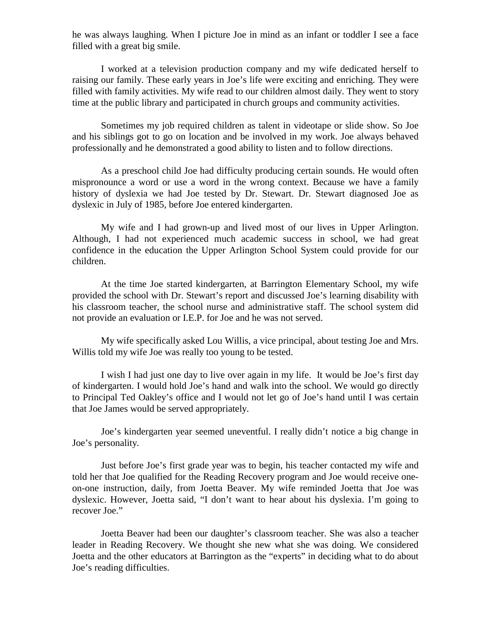he was always laughing. When I picture Joe in mind as an infant or toddler I see a face filled with a great big smile.

 I worked at a television production company and my wife dedicated herself to raising our family. These early years in Joe's life were exciting and enriching. They were filled with family activities. My wife read to our children almost daily. They went to story time at the public library and participated in church groups and community activities.

 Sometimes my job required children as talent in videotape or slide show. So Joe and his siblings got to go on location and be involved in my work. Joe always behaved professionally and he demonstrated a good ability to listen and to follow directions.

 As a preschool child Joe had difficulty producing certain sounds. He would often mispronounce a word or use a word in the wrong context. Because we have a family history of dyslexia we had Joe tested by Dr. Stewart. Dr. Stewart diagnosed Joe as dyslexic in July of 1985, before Joe entered kindergarten.

 My wife and I had grown-up and lived most of our lives in Upper Arlington. Although, I had not experienced much academic success in school, we had great confidence in the education the Upper Arlington School System could provide for our children.

 At the time Joe started kindergarten, at Barrington Elementary School, my wife provided the school with Dr. Stewart's report and discussed Joe's learning disability with his classroom teacher, the school nurse and administrative staff. The school system did not provide an evaluation or I.E.P. for Joe and he was not served.

 My wife specifically asked Lou Willis, a vice principal, about testing Joe and Mrs. Willis told my wife Joe was really too young to be tested.

 I wish I had just one day to live over again in my life. It would be Joe's first day of kindergarten. I would hold Joe's hand and walk into the school. We would go directly to Principal Ted Oakley's office and I would not let go of Joe's hand until I was certain that Joe James would be served appropriately.

 Joe's kindergarten year seemed uneventful. I really didn't notice a big change in Joe's personality.

 Just before Joe's first grade year was to begin, his teacher contacted my wife and told her that Joe qualified for the Reading Recovery program and Joe would receive oneon-one instruction, daily, from Joetta Beaver. My wife reminded Joetta that Joe was dyslexic. However, Joetta said, "I don't want to hear about his dyslexia. I'm going to recover Joe."

 Joetta Beaver had been our daughter's classroom teacher. She was also a teacher leader in Reading Recovery. We thought she new what she was doing. We considered Joetta and the other educators at Barrington as the "experts" in deciding what to do about Joe's reading difficulties.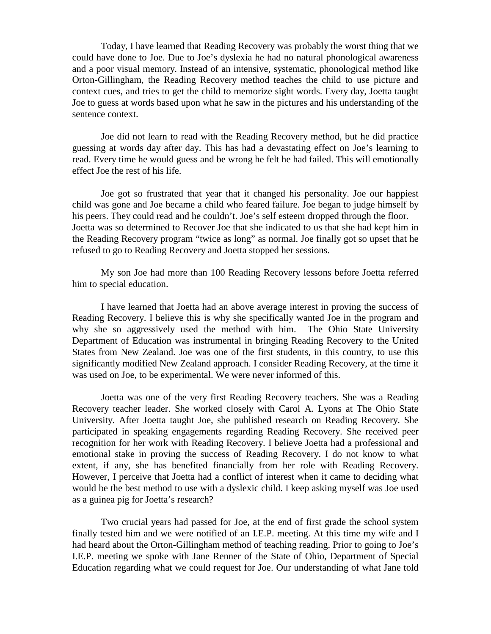Today, I have learned that Reading Recovery was probably the worst thing that we could have done to Joe. Due to Joe's dyslexia he had no natural phonological awareness and a poor visual memory. Instead of an intensive, systematic, phonological method like Orton-Gillingham, the Reading Recovery method teaches the child to use picture and context cues, and tries to get the child to memorize sight words. Every day, Joetta taught Joe to guess at words based upon what he saw in the pictures and his understanding of the sentence context.

 Joe did not learn to read with the Reading Recovery method, but he did practice guessing at words day after day. This has had a devastating effect on Joe's learning to read. Every time he would guess and be wrong he felt he had failed. This will emotionally effect Joe the rest of his life.

 Joe got so frustrated that year that it changed his personality. Joe our happiest child was gone and Joe became a child who feared failure. Joe began to judge himself by his peers. They could read and he couldn't. Joe's self esteem dropped through the floor. Joetta was so determined to Recover Joe that she indicated to us that she had kept him in the Reading Recovery program "twice as long" as normal. Joe finally got so upset that he refused to go to Reading Recovery and Joetta stopped her sessions.

 My son Joe had more than 100 Reading Recovery lessons before Joetta referred him to special education.

 I have learned that Joetta had an above average interest in proving the success of Reading Recovery. I believe this is why she specifically wanted Joe in the program and why she so aggressively used the method with him. The Ohio State University Department of Education was instrumental in bringing Reading Recovery to the United States from New Zealand. Joe was one of the first students, in this country, to use this significantly modified New Zealand approach. I consider Reading Recovery, at the time it was used on Joe, to be experimental. We were never informed of this.

 Joetta was one of the very first Reading Recovery teachers. She was a Reading Recovery teacher leader. She worked closely with Carol A. Lyons at The Ohio State University. After Joetta taught Joe, she published research on Reading Recovery. She participated in speaking engagements regarding Reading Recovery. She received peer recognition for her work with Reading Recovery. I believe Joetta had a professional and emotional stake in proving the success of Reading Recovery. I do not know to what extent, if any, she has benefited financially from her role with Reading Recovery. However, I perceive that Joetta had a conflict of interest when it came to deciding what would be the best method to use with a dyslexic child. I keep asking myself was Joe used as a guinea pig for Joetta's research?

 Two crucial years had passed for Joe, at the end of first grade the school system finally tested him and we were notified of an I.E.P. meeting. At this time my wife and I had heard about the Orton-Gillingham method of teaching reading. Prior to going to Joe's I.E.P. meeting we spoke with Jane Renner of the State of Ohio, Department of Special Education regarding what we could request for Joe. Our understanding of what Jane told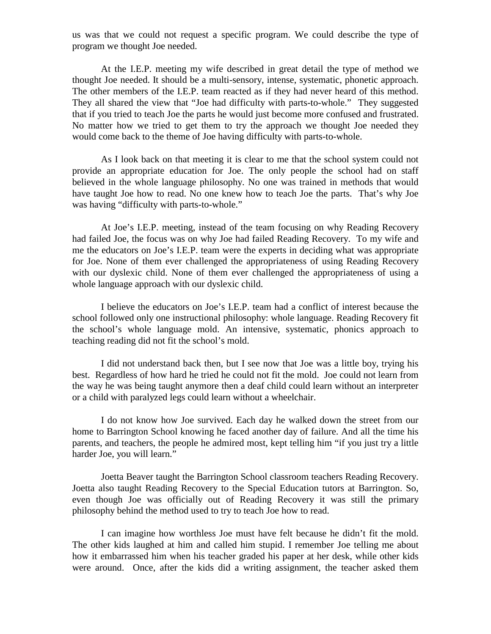us was that we could not request a specific program. We could describe the type of program we thought Joe needed.

 At the I.E.P. meeting my wife described in great detail the type of method we thought Joe needed. It should be a multi-sensory, intense, systematic, phonetic approach. The other members of the I.E.P. team reacted as if they had never heard of this method. They all shared the view that "Joe had difficulty with parts-to-whole." They suggested that if you tried to teach Joe the parts he would just become more confused and frustrated. No matter how we tried to get them to try the approach we thought Joe needed they would come back to the theme of Joe having difficulty with parts-to-whole.

 As I look back on that meeting it is clear to me that the school system could not provide an appropriate education for Joe. The only people the school had on staff believed in the whole language philosophy. No one was trained in methods that would have taught Joe how to read. No one knew how to teach Joe the parts. That's why Joe was having "difficulty with parts-to-whole."

 At Joe's I.E.P. meeting, instead of the team focusing on why Reading Recovery had failed Joe, the focus was on why Joe had failed Reading Recovery. To my wife and me the educators on Joe's I.E.P. team were the experts in deciding what was appropriate for Joe. None of them ever challenged the appropriateness of using Reading Recovery with our dyslexic child. None of them ever challenged the appropriateness of using a whole language approach with our dyslexic child.

 I believe the educators on Joe's I.E.P. team had a conflict of interest because the school followed only one instructional philosophy: whole language. Reading Recovery fit the school's whole language mold. An intensive, systematic, phonics approach to teaching reading did not fit the school's mold.

 I did not understand back then, but I see now that Joe was a little boy, trying his best. Regardless of how hard he tried he could not fit the mold. Joe could not learn from the way he was being taught anymore then a deaf child could learn without an interpreter or a child with paralyzed legs could learn without a wheelchair.

 I do not know how Joe survived. Each day he walked down the street from our home to Barrington School knowing he faced another day of failure. And all the time his parents, and teachers, the people he admired most, kept telling him "if you just try a little harder Joe, you will learn."

 Joetta Beaver taught the Barrington School classroom teachers Reading Recovery. Joetta also taught Reading Recovery to the Special Education tutors at Barrington. So, even though Joe was officially out of Reading Recovery it was still the primary philosophy behind the method used to try to teach Joe how to read.

 I can imagine how worthless Joe must have felt because he didn't fit the mold. The other kids laughed at him and called him stupid. I remember Joe telling me about how it embarrassed him when his teacher graded his paper at her desk, while other kids were around. Once, after the kids did a writing assignment, the teacher asked them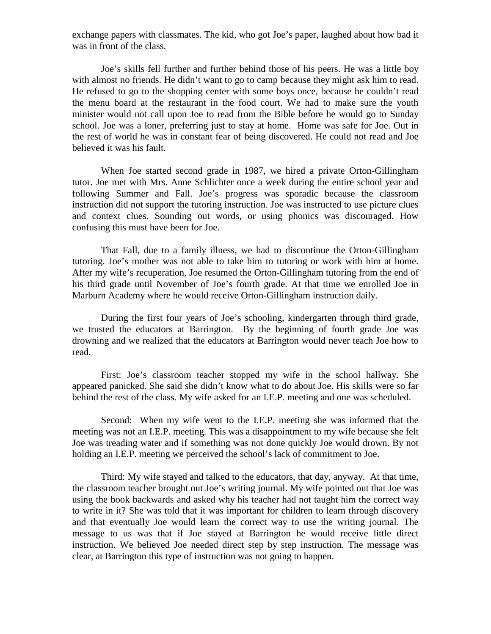exchange papers with classmates. The kid, who got Joe's paper, laughed about how bad it was in front of the class.

 Joe's skills fell further and further behind those of his peers. He was a little boy with almost no friends. He didn't want to go to camp because they might ask him to read. He refused to go to the shopping center with some boys once, because he couldn't read the menu board at the restaurant in the food court. We had to make sure the youth minister would not call upon Joe to read from the Bible before he would go to Sunday school. Joe was a loner, preferring just to stay at home. Home was safe for Joe. Out in the rest of world he was in constant fear of being discovered. He could not read and Joe believed it was his fault.

 When Joe started second grade in 1987, we hired a private Orton-Gillingham tutor. Joe met with Mrs. Anne Schlichter once a week during the entire school year and following Summer and Fall. Joe's progress was sporadic because the classroom instruction did not support the tutoring instruction. Joe was instructed to use picture clues and context clues. Sounding out words, or using phonics was discouraged. How confusing this must have been for Joe.

 That Fall, due to a family illness, we had to discontinue the Orton-Gillingham tutoring. Joe's mother was not able to take him to tutoring or work with him at home. After my wife's recuperation, Joe resumed the Orton-Gillingham tutoring from the end of his third grade until November of Joe's fourth grade. At that time we enrolled Joe in Marburn Academy where he would receive Orton-Gillingham instruction daily.

 During the first four years of Joe's schooling, kindergarten through third grade, we trusted the educators at Barrington. By the beginning of fourth grade Joe was drowning and we realized that the educators at Barrington would never teach Joe how to read.

 First: Joe's classroom teacher stopped my wife in the school hallway. She appeared panicked. She said she didn't know what to do about Joe. His skills were so far behind the rest of the class. My wife asked for an I.E.P. meeting and one was scheduled.

 Second: When my wife went to the I.E.P. meeting she was informed that the meeting was not an I.E.P. meeting. This was a disappointment to my wife because she felt Joe was treading water and if something was not done quickly Joe would drown. By not holding an I.E.P. meeting we perceived the school's lack of commitment to Joe.

 Third: My wife stayed and talked to the educators, that day, anyway. At that time, the classroom teacher brought out Joe's writing journal. My wife pointed out that Joe was using the book backwards and asked why his teacher had not taught him the correct way to write in it? She was told that it was important for children to learn through discovery and that eventually Joe would learn the correct way to use the writing journal. The message to us was that if Joe stayed at Barrington he would receive little direct instruction. We believed Joe needed direct step by step instruction. The message was clear, at Barrington this type of instruction was not going to happen.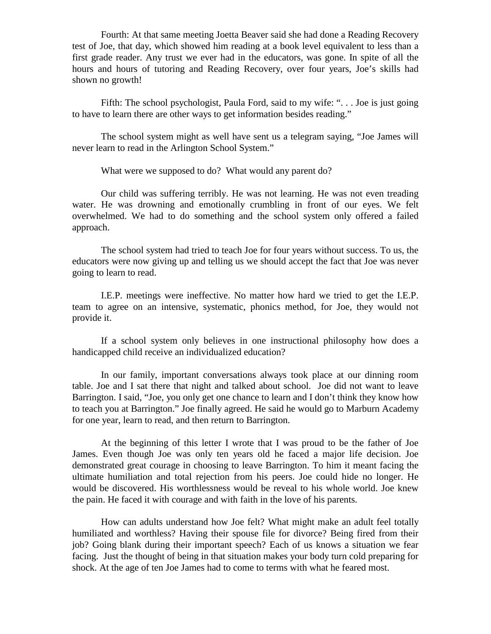Fourth: At that same meeting Joetta Beaver said she had done a Reading Recovery test of Joe, that day, which showed him reading at a book level equivalent to less than a first grade reader. Any trust we ever had in the educators, was gone. In spite of all the hours and hours of tutoring and Reading Recovery, over four years, Joe's skills had shown no growth!

 Fifth: The school psychologist, Paula Ford, said to my wife: ". . . Joe is just going to have to learn there are other ways to get information besides reading."

 The school system might as well have sent us a telegram saying, "Joe James will never learn to read in the Arlington School System."

What were we supposed to do? What would any parent do?

 Our child was suffering terribly. He was not learning. He was not even treading water. He was drowning and emotionally crumbling in front of our eyes. We felt overwhelmed. We had to do something and the school system only offered a failed approach.

 The school system had tried to teach Joe for four years without success. To us, the educators were now giving up and telling us we should accept the fact that Joe was never going to learn to read.

 I.E.P. meetings were ineffective. No matter how hard we tried to get the I.E.P. team to agree on an intensive, systematic, phonics method, for Joe, they would not provide it.

 If a school system only believes in one instructional philosophy how does a handicapped child receive an individualized education?

 In our family, important conversations always took place at our dinning room table. Joe and I sat there that night and talked about school. Joe did not want to leave Barrington. I said, "Joe, you only get one chance to learn and I don't think they know how to teach you at Barrington." Joe finally agreed. He said he would go to Marburn Academy for one year, learn to read, and then return to Barrington.

 At the beginning of this letter I wrote that I was proud to be the father of Joe James. Even though Joe was only ten years old he faced a major life decision. Joe demonstrated great courage in choosing to leave Barrington. To him it meant facing the ultimate humiliation and total rejection from his peers. Joe could hide no longer. He would be discovered. His worthlessness would be reveal to his whole world. Joe knew the pain. He faced it with courage and with faith in the love of his parents.

 How can adults understand how Joe felt? What might make an adult feel totally humiliated and worthless? Having their spouse file for divorce? Being fired from their job? Going blank during their important speech? Each of us knows a situation we fear facing. Just the thought of being in that situation makes your body turn cold preparing for shock. At the age of ten Joe James had to come to terms with what he feared most.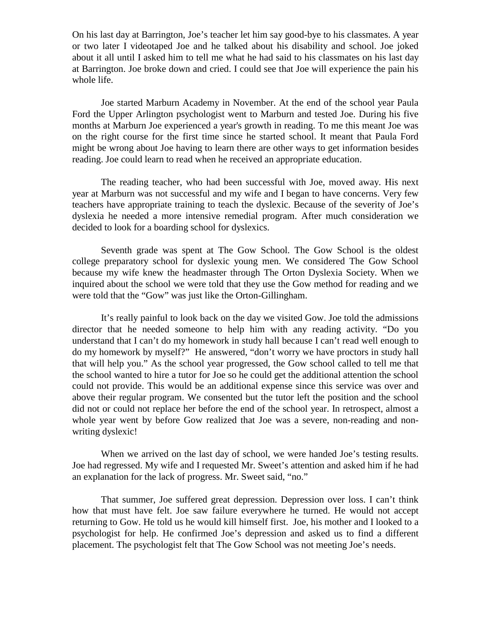On his last day at Barrington, Joe's teacher let him say good-bye to his classmates. A year or two later I videotaped Joe and he talked about his disability and school. Joe joked about it all until I asked him to tell me what he had said to his classmates on his last day at Barrington. Joe broke down and cried. I could see that Joe will experience the pain his whole life.

 Joe started Marburn Academy in November. At the end of the school year Paula Ford the Upper Arlington psychologist went to Marburn and tested Joe. During his five months at Marburn Joe experienced a year's growth in reading. To me this meant Joe was on the right course for the first time since he started school. It meant that Paula Ford might be wrong about Joe having to learn there are other ways to get information besides reading. Joe could learn to read when he received an appropriate education.

 The reading teacher, who had been successful with Joe, moved away. His next year at Marburn was not successful and my wife and I began to have concerns. Very few teachers have appropriate training to teach the dyslexic. Because of the severity of Joe's dyslexia he needed a more intensive remedial program. After much consideration we decided to look for a boarding school for dyslexics.

 Seventh grade was spent at The Gow School. The Gow School is the oldest college preparatory school for dyslexic young men. We considered The Gow School because my wife knew the headmaster through The Orton Dyslexia Society. When we inquired about the school we were told that they use the Gow method for reading and we were told that the "Gow" was just like the Orton-Gillingham.

 It's really painful to look back on the day we visited Gow. Joe told the admissions director that he needed someone to help him with any reading activity. "Do you understand that I can't do my homework in study hall because I can't read well enough to do my homework by myself?" He answered, "don't worry we have proctors in study hall that will help you." As the school year progressed, the Gow school called to tell me that the school wanted to hire a tutor for Joe so he could get the additional attention the school could not provide. This would be an additional expense since this service was over and above their regular program. We consented but the tutor left the position and the school did not or could not replace her before the end of the school year. In retrospect, almost a whole year went by before Gow realized that Joe was a severe, non-reading and nonwriting dyslexic!

When we arrived on the last day of school, we were handed Joe's testing results. Joe had regressed. My wife and I requested Mr. Sweet's attention and asked him if he had an explanation for the lack of progress. Mr. Sweet said, "no."

 That summer, Joe suffered great depression. Depression over loss. I can't think how that must have felt. Joe saw failure everywhere he turned. He would not accept returning to Gow. He told us he would kill himself first. Joe, his mother and I looked to a psychologist for help. He confirmed Joe's depression and asked us to find a different placement. The psychologist felt that The Gow School was not meeting Joe's needs.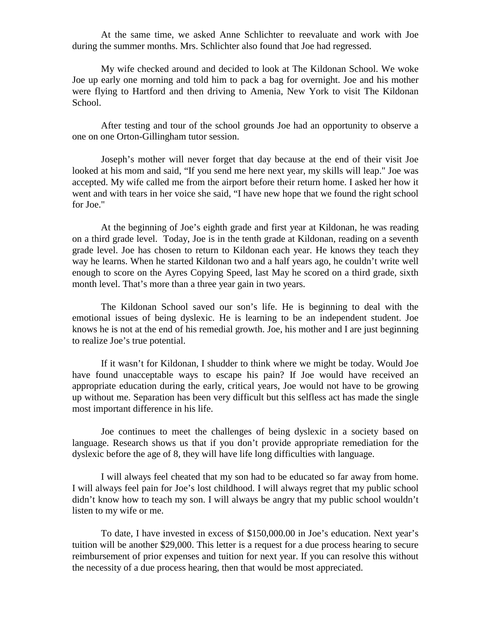At the same time, we asked Anne Schlichter to reevaluate and work with Joe during the summer months. Mrs. Schlichter also found that Joe had regressed.

 My wife checked around and decided to look at The Kildonan School. We woke Joe up early one morning and told him to pack a bag for overnight. Joe and his mother were flying to Hartford and then driving to Amenia, New York to visit The Kildonan School.

 After testing and tour of the school grounds Joe had an opportunity to observe a one on one Orton-Gillingham tutor session.

 Joseph's mother will never forget that day because at the end of their visit Joe looked at his mom and said, "If you send me here next year, my skills will leap." Joe was accepted. My wife called me from the airport before their return home. I asked her how it went and with tears in her voice she said, "I have new hope that we found the right school for Joe."

 At the beginning of Joe's eighth grade and first year at Kildonan, he was reading on a third grade level. Today, Joe is in the tenth grade at Kildonan, reading on a seventh grade level. Joe has chosen to return to Kildonan each year. He knows they teach they way he learns. When he started Kildonan two and a half years ago, he couldn't write well enough to score on the Ayres Copying Speed, last May he scored on a third grade, sixth month level. That's more than a three year gain in two years.

 The Kildonan School saved our son's life. He is beginning to deal with the emotional issues of being dyslexic. He is learning to be an independent student. Joe knows he is not at the end of his remedial growth. Joe, his mother and I are just beginning to realize Joe's true potential.

 If it wasn't for Kildonan, I shudder to think where we might be today. Would Joe have found unacceptable ways to escape his pain? If Joe would have received an appropriate education during the early, critical years, Joe would not have to be growing up without me. Separation has been very difficult but this selfless act has made the single most important difference in his life.

 Joe continues to meet the challenges of being dyslexic in a society based on language. Research shows us that if you don't provide appropriate remediation for the dyslexic before the age of 8, they will have life long difficulties with language.

 I will always feel cheated that my son had to be educated so far away from home. I will always feel pain for Joe's lost childhood. I will always regret that my public school didn't know how to teach my son. I will always be angry that my public school wouldn't listen to my wife or me.

 To date, I have invested in excess of \$150,000.00 in Joe's education. Next year's tuition will be another \$29,000. This letter is a request for a due process hearing to secure reimbursement of prior expenses and tuition for next year. If you can resolve this without the necessity of a due process hearing, then that would be most appreciated.